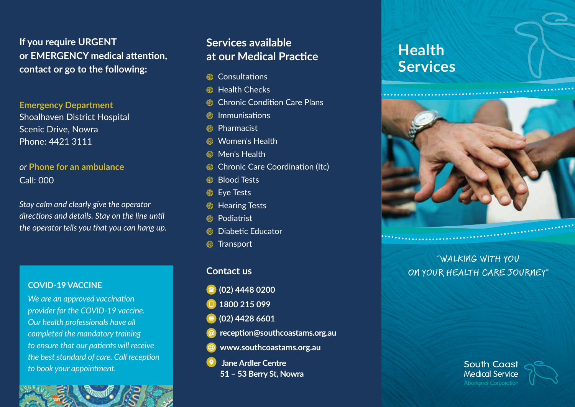**If you require URGENT or EMERGENCY medical attention, contact or go to the following:**

**Emergency Department** Shoalhaven District Hospital Scenic Drive, Nowra Phone: 4421 3111

# *or* **Phone for an ambulance** Call: 000

*Stay calm and clearly give the operator directions and details. Stay on the line until the operator tells you that you can hang up.*

### **COVID-19 VACCINE**

*We are an approved vaccination provider for the COVID-19 vaccine. Our health professionals have all completed the mandatory training to ensure that our patients will receive the best standard of care. Call reception to book your appointment.*

# **Services available at our Medical Practice**

- Consultations
- **6** Health Checks
- Chronic Condition Care Plans
- $\circledR$  Immunisations
- Pharmacist
- Women's Health
- **6** Men's Health
- Chronic Care Coordination (Itc)
- **Blood Tests**
- **S** Eye Tests
- **S** Hearing Tests
- Podiatrist
- **S** Diabetic Educator
- **S** Transport

## **Contact us**

- **(02) 4448 0200**
- **1800 215 099**
- **(02) 4428 6601**
- **reception@southcoastams.org.au**
- **www.southcoastams.org.au**
- **Jane Ardler Centre**
	- **51 53 Berry St, Nowra**

# **Health Services**



"WALKING WITH YOU ON YOUR HEALTH CARE JOURNEY"

> **South Coast Medical Service**